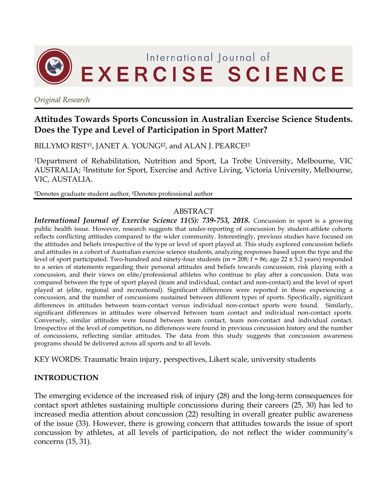

*Original Research*

# **Attitudes Towards Sports Concussion in Australian Exercise Science Students. Does the Type and Level of Participation in Sport Matter?**

BILLYMO RIST<sup>†1</sup>, JANET A. YOUNG<sup>‡2</sup>, and ALAN J. PEARCE<sup>‡1</sup>

1Department of Rehabilitation, Nutrition and Sport, La Trobe University, Melbourne, VIC AUSTRALIA; 2Institute for Sport, Exercise and Active Living, Victoria University, Melbourne, VIC, AUSTALIA.

†Denotes graduate student author, ‡Denotes professional author

## ABSTRACT

*International Journal of Exercise Science 11(5): 739-753, 2018.* Concussion in sport is a growing public health issue. However, research suggests that under-reporting of concussion by student-athlete cohorts reflects conflicting attitudes compared to the wider community. Interestingly, previous studies have focused on the attitudes and beliefs irrespective of the type or level of sport played at. This study explored concussion beliefs and attitudes in a cohort of Australian exercise science students, analyzing responses based upon the type and the level of sport participated. Two-hundred and ninety-four students ( $m = 208$ ;  $f = 86$ ; age 22  $\pm$  5.2 years) responded to a series of statements regarding their personal attitudes and beliefs towards concussion, risk playing with a concussion, and their views on elite/professional athletes who continue to play after a concussion. Data was compared between the type of sport played (team and individual, contact and non-contact) and the level of sport played at (elite, regional and recreational). Significant differences were reported in those experiencing a concussion, and the number of concussions sustained between different types of sports. Specifically, significant differences in attitudes between team-contact versus individual non-contact sports were found. Similarly, significant differences in attitudes were observed between team contact and individual non-contact sports. Conversely, similar attitudes were found between team contact, team non-contact and individual contact. Irrespective of the level of competition, no differences were found in previous concussion history and the number of concussions, reflecting similar attitudes. The data from this study suggests that concussion awareness programs should be delivered across all sports and to all levels.

KEY WORDS: Traumatic brain injury, perspectives, Likert scale, university students

# **INTRODUCTION**

The emerging evidence of the increased risk of injury (28) and the long-term consequences for contact sport athletes sustaining multiple concussions during their careers (25, 30) has led to increased media attention about concussion (22) resulting in overall greater public awareness of the issue (33). However, there is growing concern that attitudes towards the issue of sport concussion by athletes, at all levels of participation, do not reflect the wider community's concerns (15, 31).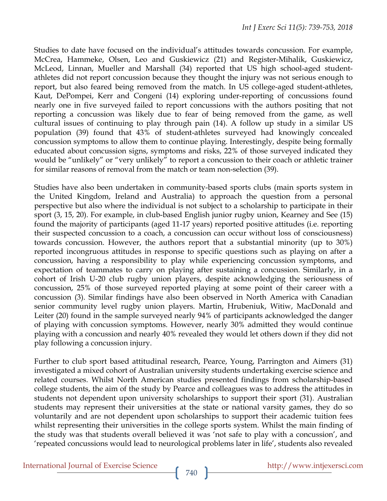Studies to date have focused on the individual's attitudes towards concussion. For example, McCrea, Hammeke, Olsen, Leo and Guskiewicz (21) and Register-Mihalik, Guskiewicz, McLeod, Linnan, Mueller and Marshall (34) reported that US high school-aged studentathletes did not report concussion because they thought the injury was not serious enough to report, but also feared being removed from the match. In US college-aged student-athletes, Kaut, DePompei, Kerr and Congeni (14) exploring under-reporting of concussions found nearly one in five surveyed failed to report concussions with the authors positing that not reporting a concussion was likely due to fear of being removed from the game, as well cultural issues of continuing to play through pain (14). A follow up study in a similar US population (39) found that 43% of student-athletes surveyed had knowingly concealed concussion symptoms to allow them to continue playing. Interestingly, despite being formally educated about concussion signs, symptoms and risks, 22% of those surveyed indicated they would be "unlikely" or "very unlikely" to report a concussion to their coach or athletic trainer for similar reasons of removal from the match or team non-selection (39).

Studies have also been undertaken in community-based sports clubs (main sports system in the United Kingdom, Ireland and Australia) to approach the question from a personal perspective but also where the individual is not subject to a scholarship to participate in their sport (3, 15, 20). For example, in club-based English junior rugby union, Kearney and See (15) found the majority of participants (aged 11-17 years) reported positive attitudes (i.e. reporting their suspected concussion to a coach, a concussion can occur without loss of consciousness) towards concussion. However, the authors report that a substantial minority (up to 30%) reported incongruous attitudes in response to specific questions such as playing on after a concussion, having a responsibility to play while experiencing concussion symptoms, and expectation of teammates to carry on playing after sustaining a concussion. Similarly, in a cohort of Irish U-20 club rugby union players, despite acknowledging the seriousness of concussion, 25% of those surveyed reported playing at some point of their career with a concussion (3). Similar findings have also been observed in North America with Canadian senior community level rugby union players. Martin, Hrubeniuk, Witiw, MacDonald and Leiter (20) found in the sample surveyed nearly 94% of participants acknowledged the danger of playing with concussion symptoms. However, nearly 30% admitted they would continue playing with a concussion and nearly 40% revealed they would let others down if they did not play following a concussion injury.

Further to club sport based attitudinal research, Pearce, Young, Parrington and Aimers (31) investigated a mixed cohort of Australian university students undertaking exercise science and related courses. Whilst North American studies presented findings from scholarship-based college students, the aim of the study by Pearce and colleagues was to address the attitudes in students not dependent upon university scholarships to support their sport (31). Australian students may represent their universities at the state or national varsity games, they do so voluntarily and are not dependent upon scholarships to support their academic tuition fees whilst representing their universities in the college sports system. Whilst the main finding of the study was that students overall believed it was 'not safe to play with a concussion', and 'repeated concussions would lead to neurological problems later in life', students also revealed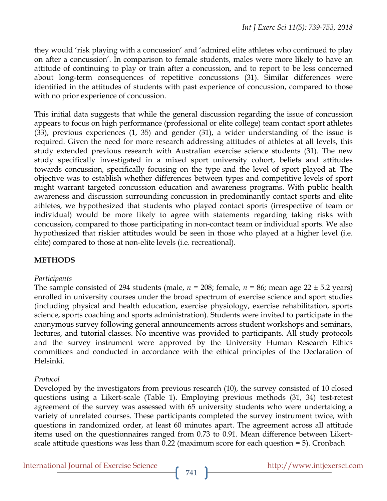they would 'risk playing with a concussion' and 'admired elite athletes who continued to play on after a concussion'. In comparison to female students, males were more likely to have an attitude of continuing to play or train after a concussion, and to report to be less concerned about long-term consequences of repetitive concussions (31). Similar differences were identified in the attitudes of students with past experience of concussion, compared to those with no prior experience of concussion.

This initial data suggests that while the general discussion regarding the issue of concussion appears to focus on high performance (professional or elite college) team contact sport athletes (33), previous experiences (1, 35) and gender (31), a wider understanding of the issue is required. Given the need for more research addressing attitudes of athletes at all levels, this study extended previous research with Australian exercise science students (31). The new study specifically investigated in a mixed sport university cohort, beliefs and attitudes towards concussion, specifically focusing on the type and the level of sport played at. The objective was to establish whether differences between types and competitive levels of sport might warrant targeted concussion education and awareness programs. With public health awareness and discussion surrounding concussion in predominantly contact sports and elite athletes, we hypothesized that students who played contact sports (irrespective of team or individual) would be more likely to agree with statements regarding taking risks with concussion, compared to those participating in non-contact team or individual sports. We also hypothesized that riskier attitudes would be seen in those who played at a higher level (i.e. elite) compared to those at non-elite levels (i.e. recreational).

# **METHODS**

## *Participants*

The sample consisted of 294 students (male,  $n = 208$ ; female,  $n = 86$ ; mean age 22  $\pm$  5.2 years) enrolled in university courses under the broad spectrum of exercise science and sport studies (including physical and health education, exercise physiology, exercise rehabilitation, sports science, sports coaching and sports administration). Students were invited to participate in the anonymous survey following general announcements across student workshops and seminars, lectures, and tutorial classes. No incentive was provided to participants. All study protocols and the survey instrument were approved by the University Human Research Ethics committees and conducted in accordance with the ethical principles of the Declaration of Helsinki.

## *Protocol*

Developed by the investigators from previous research (10), the survey consisted of 10 closed questions using a Likert-scale (Table 1). Employing previous methods (31, 34) test-retest agreement of the survey was assessed with 65 university students who were undertaking a variety of unrelated courses. These participants completed the survey instrument twice, with questions in randomized order, at least 60 minutes apart. The agreement across all attitude items used on the questionnaires ranged from 0.73 to 0.91. Mean difference between Likertscale attitude questions was less than 0.22 (maximum score for each question = 5). Cronbach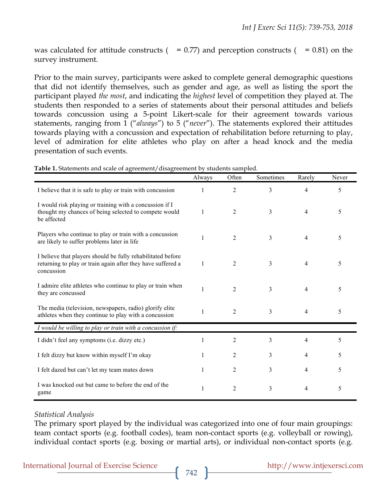was calculated for attitude constructs ( $= 0.77$ ) and perception constructs ( $= 0.81$ ) on the survey instrument.

Prior to the main survey, participants were asked to complete general demographic questions that did not identify themselves, such as gender and age, as well as listing the sport the participant played *the most*, and indicating the *highest* level of competition they played at. The students then responded to a series of statements about their personal attitudes and beliefs towards concussion using a 5-point Likert-scale for their agreement towards various statements, ranging from 1 ("*always*") to 5 ("*never*"). The statements explored their attitudes towards playing with a concussion and expectation of rehabilitation before returning to play, level of admiration for elite athletes who play on after a head knock and the media presentation of such events.

|                                                                                                                                          | Always | Often          | Sometimes | Rarely | Never |
|------------------------------------------------------------------------------------------------------------------------------------------|--------|----------------|-----------|--------|-------|
| I believe that it is safe to play or train with concussion                                                                               | 1      | $\overline{2}$ | 3         | 4      | 5     |
| I would risk playing or training with a concussion if I<br>thought my chances of being selected to compete would<br>be affected          | 1      | 2              | 3         | 4      | 5     |
| Players who continue to play or train with a concussion<br>are likely to suffer problems later in life                                   | 1      | $\overline{2}$ | 3         | 4      | 5     |
| I believe that players should be fully rehabilitated before<br>returning to play or train again after they have suffered a<br>concussion | 1      | $\overline{2}$ | 3         | 4      | 5     |
| I admire elite athletes who continue to play or train when<br>they are concussed                                                         | 1      | $\overline{2}$ | 3         | 4      | 5     |
| The media (television, newspapers, radio) glorify elite<br>athletes when they continue to play with a concussion                         | 1      | $\overline{2}$ | 3         | 4      | 5     |
| I would be willing to play or train with a concussion if:                                                                                |        |                |           |        |       |
| I didn't feel any symptoms (i.e. dizzy etc.)                                                                                             | 1      | 2              | 3         | 4      | 5     |
| I felt dizzy but know within myself I'm okay                                                                                             |        | 2              | 3         | 4      | 5     |
| I felt dazed but can't let my team mates down                                                                                            | 1      | 2              | 3         | 4      | 5     |
| I was knocked out but came to before the end of the<br>game                                                                              | 1      | 2              | 3         | 4      | 5     |

**Table 1.** Statements and scale of agreement/disagreement by students sampled.

#### *Statistical Analysis*

The primary sport played by the individual was categorized into one of four main groupings: team contact sports (e.g. football codes), team non-contact sports (e.g. volleyball or rowing), individual contact sports (e.g. boxing or martial arts), or individual non-contact sports (e.g.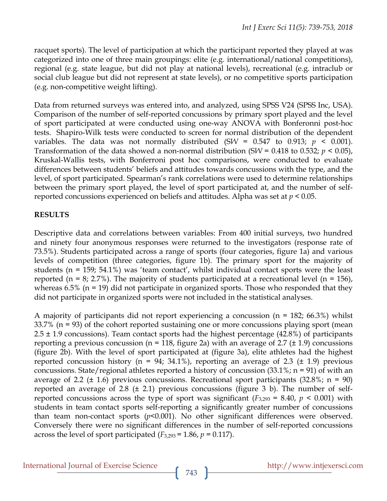racquet sports). The level of participation at which the participant reported they played at was categorized into one of three main groupings: elite (e.g. international/national competitions), regional (e.g. state league, but did not play at national levels), recreational (e.g. intraclub or social club league but did not represent at state levels), or no competitive sports participation (e.g. non-competitive weight lifting).

Data from returned surveys was entered into, and analyzed, using SPSS V24 (SPSS Inc, USA). Comparison of the number of self-reported concussions by primary sport played and the level of sport participated at were conducted using one-way ANOVA with Bonferonni post-hoc tests. Shapiro-Wilk tests were conducted to screen for normal distribution of the dependent variables. The data was not normally distributed (SW =  $0.547$  to  $0.913$ ;  $p < 0.001$ ). Transformation of the data showed a non-normal distribution (S*W* = 0.418 to 0.532; *p* < 0.05), Kruskal-Wallis tests, with Bonferroni post hoc comparisons, were conducted to evaluate differences between students' beliefs and attitudes towards concussions with the type, and the level, of sport participated. Spearman's rank correlations were used to determine relationships between the primary sport played, the level of sport participated at, and the number of selfreported concussions experienced on beliefs and attitudes. Alpha was set at *p* < 0.05.

# **RESULTS**

Descriptive data and correlations between variables: From 400 initial surveys, two hundred and ninety four anonymous responses were returned to the investigators (response rate of 73.5%). Students participated across a range of sports (four categories, figure 1a) and various levels of competition (three categories, figure 1b). The primary sport for the majority of students (n = 159; 54.1%) was 'team contact', whilst individual contact sports were the least reported (n = 8; 2.7%). The majority of students participated at a recreational level (n = 156), whereas 6.5% ( $n = 19$ ) did not participate in organized sports. Those who responded that they did not participate in organized sports were not included in the statistical analyses.

A majority of participants did not report experiencing a concussion ( $n = 182$ ; 66.3%) whilst 33.7% (n = 93) of the cohort reported sustaining one or more concussions playing sport (mean  $2.5 \pm 1.9$  concussions). Team contact sports had the highest percentage (42.8%) of participants reporting a previous concussion (n = 118, figure 2a) with an average of 2.7 ( $\pm$  1.9) concussions (figure 2b). With the level of sport participated at (figure 3a), elite athletes had the highest reported concussion history (n = 94; 34.1%), reporting an average of 2.3 ( $\pm$  1.9) previous concussions. State/regional athletes reported a history of concussion (33.1%; n = 91) of with an average of 2.2 ( $\pm$  1.6) previous concussions. Recreational sport participants (32.8%; n = 90) reported an average of 2.8  $(\pm 2.1)$  previous concussions (figure 3 b). The number of selfreported concussions across the type of sport was significant  $(F_{3,293} = 8.40, p \le 0.001)$  with students in team contact sports self-reporting a significantly greater number of concussions than team non-contact sports (*p*<0.001). No other significant differences were observed. Conversely there were no significant differences in the number of self-reported concussions across the level of sport participated  $(F_{3,293} = 1.86, p = 0.117)$ .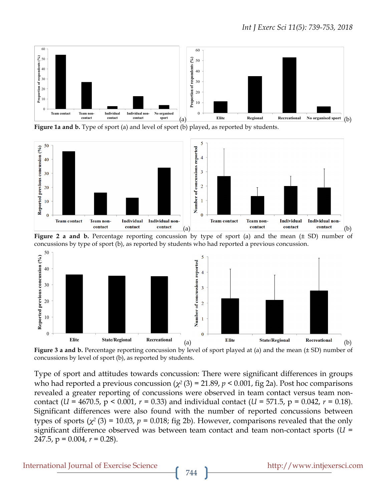

**Figure 1a and b.** Type of sport (a) and level of sport (b) played, as reported by students.



**Figure 2 a and b.** Percentage reporting concussion by type of sport (a) and the mean (± SD) number of concussions by type of sport (b), as reported by students who had reported a previous concussion.



**Figure 3 a and b.** Percentage reporting concussion by level of sport played at (a) and the mean ( $\pm$  SD) number of concussions by level of sport (b), as reported by students.

Type of sport and attitudes towards concussion: There were significant differences in groups who had reported a previous concussion ( $\chi^2$  (3) = 21.89,  $p$  < 0.001, fig 2a). Post hoc comparisons revealed a greater reporting of concussions were observed in team contact versus team noncontact (*U* = 4670.5,  $p \le 0.001$ ,  $r = 0.33$ ) and individual contact (*U* = 571.5,  $p = 0.042$ ,  $r = 0.18$ ). Significant differences were also found with the number of reported concussions between types of sports  $(\chi^2(3) = 10.03, p = 0.018$ ; fig 2b). However, comparisons revealed that the only significant difference observed was between team contact and team non-contact sports (*U* = 247.5, p = 0.004, *r* = 0.28).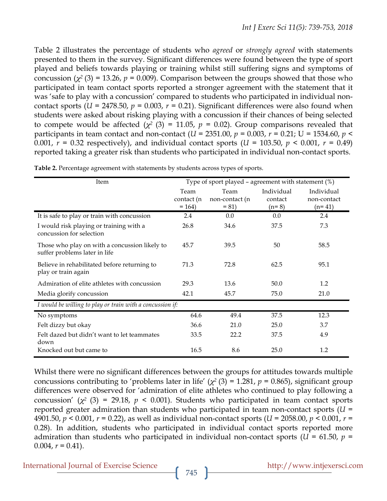Table 2 illustrates the percentage of students who *agreed* or *strongly agreed* with statements presented to them in the survey. Significant differences were found between the type of sport played and beliefs towards playing or training whilst still suffering signs and symptoms of concussion  $(\chi^2(3) = 13.26, p = 0.009)$ . Comparison between the groups showed that those who participated in team contact sports reported a stronger agreement with the statement that it was 'safe to play with a concussion' compared to students who participated in individual noncontact sports ( $U = 2478.50$ ,  $p = 0.003$ ,  $r = 0.21$ ). Significant differences were also found when students were asked about risking playing with a concussion if their chances of being selected to compete would be affected  $(\chi^2 (3) = 11.05, p = 0.02)$ . Group comparisons revealed that participants in team contact and non-contact ( $U = 2351.00$ ,  $p = 0.003$ ,  $r = 0.21$ ;  $U = 1534.60$ ,  $p <$ 0.001,  $r = 0.32$  respectively), and individual contact sports (*U* = 103.50,  $p < 0.001$ ,  $r = 0.49$ ) reported taking a greater risk than students who participated in individual non-contact sports.

| Item                                                                           | Type of sport played – agreement with statement $(\%)$ |                        |                       |                           |  |  |  |
|--------------------------------------------------------------------------------|--------------------------------------------------------|------------------------|-----------------------|---------------------------|--|--|--|
|                                                                                | Team<br>contact (n                                     | Team<br>non-contact (n | Individual<br>contact | Individual<br>non-contact |  |  |  |
|                                                                                | $= 164$                                                | $= 81$                 | $(n=8)$               | $(n=41)$                  |  |  |  |
| It is safe to play or train with concussion                                    | 2.4                                                    | 0.0                    | 0.0                   | 2.4                       |  |  |  |
| I would risk playing or training with a<br>concussion for selection            | 26.8                                                   | 34.6                   | 37.5                  | 7.3                       |  |  |  |
| Those who play on with a concussion likely to<br>suffer problems later in life | 45.7                                                   | 39.5                   | 50                    | 58.5                      |  |  |  |
| Believe in rehabilitated before returning to<br>play or train again            | 71.3                                                   | 72.8                   | 62.5                  | 95.1                      |  |  |  |
| Admiration of elite athletes with concussion                                   | 29.3                                                   | 13.6                   | 50.0                  | 1.2                       |  |  |  |
| Media glorify concussion                                                       | 42.1                                                   | 45.7                   | 75.0                  | 21.0                      |  |  |  |
| I would be willing to play or train with a concussion if:                      |                                                        |                        |                       |                           |  |  |  |
| No symptoms                                                                    | 64.6                                                   | 49.4                   | 37.5                  | 12.3                      |  |  |  |
| Felt dizzy but okay                                                            | 36.6                                                   | 21.0                   | 25.0                  | 3.7                       |  |  |  |
| Felt dazed but didn't want to let teammates<br>down                            | 33.5                                                   | 22.2                   | 37.5                  | 4.9                       |  |  |  |
| Knocked out but came to                                                        | 16.5                                                   | 8.6                    | 25.0                  | 1.2                       |  |  |  |

**Table 2.** Percentage agreement with statements by students across types of sports.

Whilst there were no significant differences between the groups for attitudes towards multiple concussions contributing to 'problems later in life' ( $\chi^2$  (3) = 1.281, *p* = 0.865), significant group differences were observed for 'admiration of elite athletes who continued to play following a concussion'  $(\chi^2$  (3) = 29.18,  $p < 0.001$ ). Students who participated in team contact sports reported greater admiration than students who participated in team non-contact sports (*U* = 4901.50, *p* < 0.001, *r* = 0.22), as well as individual non-contact sports (*U* = 2058.00, *p* < 0.001, *r* = 0.28). In addition, students who participated in individual contact sports reported more admiration than students who participated in individual non-contact sports ( $U = 61.50$ ,  $p =$ 0.004,  $r = 0.41$ ).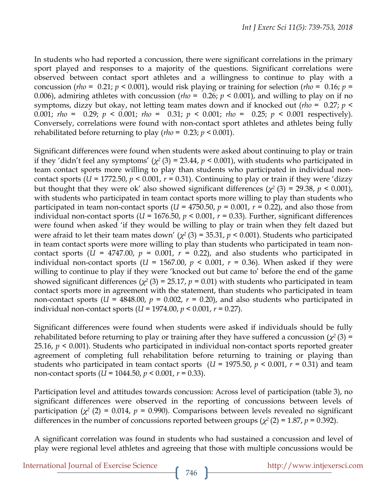In students who had reported a concussion, there were significant correlations in the primary sport played and responses to a majority of the questions. Significant correlations were observed between contact sport athletes and a willingness to continue to play with a concussion (*rho* = 0.21;  $p < 0.001$ ), would risk playing or training for selection (*rho* = 0.16;  $p =$ 0.006), admiring athletes with concussion ( $rho = 0.26$ ;  $p < 0.001$ ), and willing to play on if no symptoms, dizzy but okay, not letting team mates down and if knocked out (*rho* = 0.27; *p* < 0.001; *rho* = 0.29; *p* < 0.001; *rho* = 0.31; *p* < 0.001; *rho* = 0.25; *p* < 0.001 respectively). Conversely, correlations were found with non-contact sport athletes and athletes being fully rehabilitated before returning to play (*rho* = 0.23; *p* < 0.001).

Significant differences were found when students were asked about continuing to play or train if they 'didn't feel any symptoms'  $(\chi^2(3) = 23.44, p \le 0.001)$ , with students who participated in team contact sports more willing to play than students who participated in individual noncontact sports ( $U = 1772.50$ ,  $p < 0.001$ ,  $r = 0.31$ ). Continuing to play or train if they were 'dizzy but thought that they were ok' also showed significant differences ( $\chi^2$  (3) = 29.38, *p* < 0.001), with students who participated in team contact sports more willing to play than students who participated in team non-contact sports ( $U = 4750.50$ ,  $p = 0.001$ ,  $r = 0.22$ ), and also those from individual non-contact sports ( $U = 1676.50$ ,  $p < 0.001$ ,  $r = 0.33$ ). Further, significant differences were found when asked 'if they would be willing to play or train when they felt dazed but were afraid to let their team mates down'  $(\chi^2(3) = 35.31, p \le 0.001)$ . Students who participated in team contact sports were more willing to play than students who participated in team noncontact sports ( $U = 4747.00$ ,  $p = 0.001$ ,  $r = 0.22$ ), and also students who participated in individual non-contact sports ( $U = 1567.00$ ,  $p < 0.001$ ,  $r = 0.36$ ). When asked if they were willing to continue to play if they were 'knocked out but came to' before the end of the game showed significant differences ( $\chi^2$  (3) = 25.17, *p* = 0.01) with students who participated in team contact sports more in agreement with the statement, than students who participated in team non-contact sports ( $U = 4848.00$ ,  $p = 0.002$ ,  $r = 0.20$ ), and also students who participated in individual non-contact sports (*U* = 1974.00, *p* < 0.001, *r* = 0.27).

Significant differences were found when students were asked if individuals should be fully rehabilitated before returning to play or training after they have suffered a concussion  $(\chi^2(3)$  = 25.16, *p* < 0.001). Students who participated in individual non-contact sports reported greater agreement of completing full rehabilitation before returning to training or playing than students who participated in team contact sports ( $U = 1975.50$ ,  $p < 0.001$ ,  $r = 0.31$ ) and team non-contact sports (*U* = 1044.50, *p* < 0.001, *r* = 0.33).

Participation level and attitudes towards concussion: Across level of participation (table 3), no significant differences were observed in the reporting of concussions between levels of participation ( $\chi^2$  (2) = 0.014,  $p = 0.990$ ). Comparisons between levels revealed no significant differences in the number of concussions reported between groups ( $\chi^2$  (2) = 1.87, *p* = 0.392).

A significant correlation was found in students who had sustained a concussion and level of play were regional level athletes and agreeing that those with multiple concussions would be

International Journal of Exercise Science http://www.intjexersci.com http://www.intjexersci.com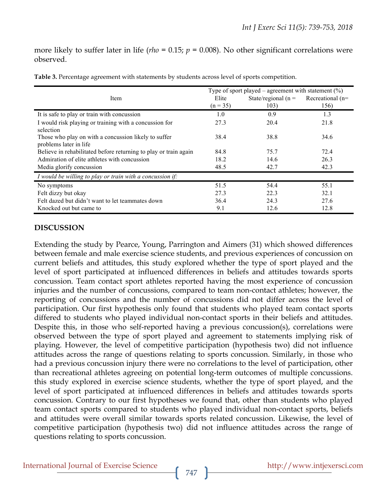more likely to suffer later in life ( $rho = 0.15$ ;  $p = 0.008$ ). No other significant correlations were observed.

|                                                                  | Type of sport played – agreement with statement $(\% )$ |                        |                  |  |  |
|------------------------------------------------------------------|---------------------------------------------------------|------------------------|------------------|--|--|
| Item                                                             | Elite                                                   | State/regional ( $n =$ | Recreational (n= |  |  |
|                                                                  | $(n = 35)$                                              | 103)                   | 156)             |  |  |
| It is safe to play or train with concussion                      | 1.0                                                     | 0.9                    | 1.3              |  |  |
| I would risk playing or training with a concussion for           | 27.3                                                    | 20.4                   | 21.8             |  |  |
| selection                                                        |                                                         |                        |                  |  |  |
| Those who play on with a concussion likely to suffer             | 38.4                                                    | 38.8                   | 34.6             |  |  |
| problems later in life                                           |                                                         |                        |                  |  |  |
| Believe in rehabilitated before returning to play or train again | 84.8                                                    | 75.7                   | 72.4             |  |  |
| Admiration of elite athletes with concussion                     | 18.2                                                    | 14.6                   | 26.3             |  |  |
| Media glorify concussion                                         | 48.5                                                    | 42.7                   | 42.3             |  |  |
| I would be willing to play or train with a concussion if:        |                                                         |                        |                  |  |  |
| No symptoms                                                      | 51.5                                                    | 54.4                   | 55.1             |  |  |
| Felt dizzy but okay                                              | 27.3                                                    | 22.3                   | 32.1             |  |  |
| Felt dazed but didn't want to let teammates down                 | 36.4                                                    | 24.3                   | 27.6             |  |  |
| Knocked out but came to                                          | 9.1                                                     | 12.6                   | 12.8             |  |  |

**Table 3.** Percentage agreement with statements by students across level of sports competition.

## **DISCUSSION**

Extending the study by Pearce, Young, Parrington and Aimers (31) which showed differences between female and male exercise science students, and previous experiences of concussion on current beliefs and attitudes, this study explored whether the type of sport played and the level of sport participated at influenced differences in beliefs and attitudes towards sports concussion. Team contact sport athletes reported having the most experience of concussion injuries and the number of concussions, compared to team non-contact athletes; however, the reporting of concussions and the number of concussions did not differ across the level of participation. Our first hypothesis only found that students who played team contact sports differed to students who played individual non-contact sports in their beliefs and attitudes. Despite this, in those who self-reported having a previous concussion(s), correlations were observed between the type of sport played and agreement to statements implying risk of playing. However, the level of competitive participation (hypothesis two) did not influence attitudes across the range of questions relating to sports concussion. Similarly, in those who had a previous concussion injury there were no correlations to the level of participation, other than recreational athletes agreeing on potential long-term outcomes of multiple concussions. this study explored in exercise science students, whether the type of sport played, and the level of sport participated at influenced differences in beliefs and attitudes towards sports concussion. Contrary to our first hypotheses we found that, other than students who played team contact sports compared to students who played individual non-contact sports, beliefs and attitudes were overall similar towards sports related concussion. Likewise, the level of competitive participation (hypothesis two) did not influence attitudes across the range of questions relating to sports concussion.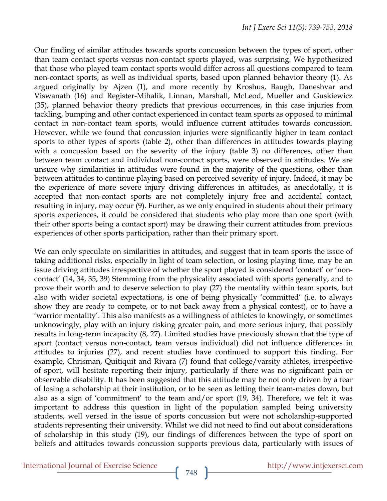Our finding of similar attitudes towards sports concussion between the types of sport, other than team contact sports versus non-contact sports played, was surprising. We hypothesized that those who played team contact sports would differ across all questions compared to team non-contact sports, as well as individual sports, based upon planned behavior theory (1). As argued originally by Ajzen (1), and more recently by Kroshus, Baugh, Daneshvar and Viswanath (16) and Register-Mihalik, Linnan, Marshall, McLeod, Mueller and Guskiewicz (35), planned behavior theory predicts that previous occurrences, in this case injuries from tackling, bumping and other contact experienced in contact team sports as opposed to minimal contact in non-contact team sports, would influence current attitudes towards concussion. However, while we found that concussion injuries were significantly higher in team contact sports to other types of sports (table 2), other than differences in attitudes towards playing with a concussion based on the severity of the injury (table 3) no differences, other than between team contact and individual non-contact sports, were observed in attitudes. We are unsure why similarities in attitudes were found in the majority of the questions, other than between attitudes to continue playing based on perceived severity of injury. Indeed, it may be the experience of more severe injury driving differences in attitudes, as anecdotally, it is accepted that non-contact sports are not completely injury free and accidental contact, resulting in injury, may occur (9). Further, as we only enquired in students about their primary sports experiences, it could be considered that students who play more than one sport (with their other sports being a contact sport) may be drawing their current attitudes from previous experiences of other sports participation, rather than their primary sport.

We can only speculate on similarities in attitudes, and suggest that in team sports the issue of taking additional risks, especially in light of team selection, or losing playing time, may be an issue driving attitudes irrespective of whether the sport played is considered 'contact' or 'noncontact' (14, 34, 35, 39) Stemming from the physicality associated with sports generally, and to prove their worth and to deserve selection to play (27) the mentality within team sports, but also with wider societal expectations, is one of being physically 'committed' (i.e. to always show they are ready to compete, or to not back away from a physical contest), or to have a 'warrior mentality'. This also manifests as a willingness of athletes to knowingly, or sometimes unknowingly, play with an injury risking greater pain, and more serious injury, that possibly results in long-term incapacity (8, 27). Limited studies have previously shown that the type of sport (contact versus non-contact, team versus individual) did not influence differences in attitudes to injuries (27), and recent studies have continued to support this finding. For example, Chrisman, Quitiquit and Rivara (7) found that college/varsity athletes, irrespective of sport, will hesitate reporting their injury, particularly if there was no significant pain or observable disability. It has been suggested that this attitude may be not only driven by a fear of losing a scholarship at their institution, or to be seen as letting their team-mates down, but also as a sign of 'commitment' to the team and/or sport (19, 34). Therefore, we felt it was important to address this question in light of the population sampled being university students, well versed in the issue of sports concussion but were not scholarship-supported students representing their university. Whilst we did not need to find out about considerations of scholarship in this study (19), our findings of differences between the type of sport on beliefs and attitudes towards concussion supports previous data, particularly with issues of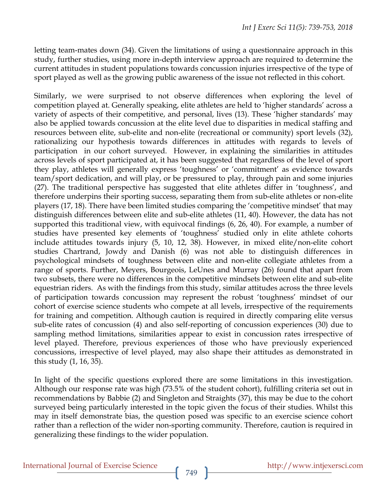letting team-mates down (34). Given the limitations of using a questionnaire approach in this study, further studies, using more in-depth interview approach are required to determine the current attitudes in student populations towards concussion injuries irrespective of the type of sport played as well as the growing public awareness of the issue not reflected in this cohort.

Similarly, we were surprised to not observe differences when exploring the level of competition played at. Generally speaking, elite athletes are held to 'higher standards' across a variety of aspects of their competitive, and personal, lives (13). These 'higher standards' may also be applied towards concussion at the elite level due to disparities in medical staffing and resources between elite, sub-elite and non-elite (recreational or community) sport levels (32), rationalizing our hypothesis towards differences in attitudes with regards to levels of participation in our cohort surveyed. However, in explaining the similarities in attitudes across levels of sport participated at, it has been suggested that regardless of the level of sport they play, athletes will generally express 'toughness' or 'commitment' as evidence towards team/sport dedication, and will play, or be pressured to play, through pain and some injuries (27). The traditional perspective has suggested that elite athletes differ in 'toughness', and therefore underpins their sporting success, separating them from sub-elite athletes or non-elite players (17, 18). There have been limited studies comparing the 'competitive mindset' that may distinguish differences between elite and sub-elite athletes (11, 40). However, the data has not supported this traditional view, with equivocal findings (6, 26, 40). For example, a number of studies have presented key elements of 'toughness' studied only in elite athlete cohorts include attitudes towards injury (5, 10, 12, 38). However, in mixed elite/non-elite cohort studies Chartrand, Jowdy and Danish (6) was not able to distinguish differences in psychological mindsets of toughness between elite and non-elite collegiate athletes from a range of sports. Further, Meyers, Bourgeois, LeUnes and Murray (26) found that apart from two subsets, there were no differences in the competitive mindsets between elite and sub-elite equestrian riders. As with the findings from this study, similar attitudes across the three levels of participation towards concussion may represent the robust 'toughness' mindset of our cohort of exercise science students who compete at all levels, irrespective of the requirements for training and competition. Although caution is required in directly comparing elite versus sub-elite rates of concussion (4) and also self-reporting of concussion experiences (30) due to sampling method limitations, similarities appear to exist in concussion rates irrespective of level played. Therefore, previous experiences of those who have previously experienced concussions, irrespective of level played, may also shape their attitudes as demonstrated in this study (1, 16, 35).

In light of the specific questions explored there are some limitations in this investigation. Although our response rate was high (73.5% of the student cohort), fulfilling criteria set out in recommendations by Babbie (2) and Singleton and Straights (37), this may be due to the cohort surveyed being particularly interested in the topic given the focus of their studies. Whilst this may in itself demonstrate bias, the question posed was specific to an exercise science cohort rather than a reflection of the wider non-sporting community. Therefore, caution is required in generalizing these findings to the wider population.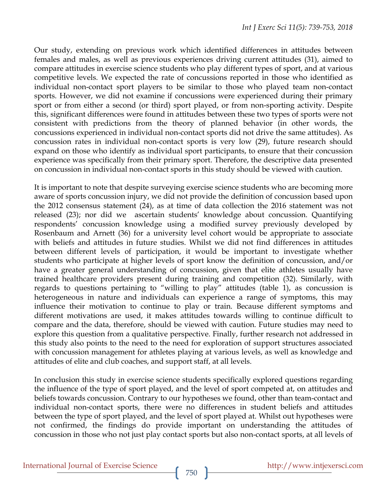Our study, extending on previous work which identified differences in attitudes between females and males, as well as previous experiences driving current attitudes (31), aimed to compare attitudes in exercise science students who play different types of sport, and at various competitive levels. We expected the rate of concussions reported in those who identified as individual non-contact sport players to be similar to those who played team non-contact sports. However, we did not examine if concussions were experienced during their primary sport or from either a second (or third) sport played, or from non-sporting activity. Despite this, significant differences were found in attitudes between these two types of sports were not consistent with predictions from the theory of planned behavior (in other words, the concussions experienced in individual non-contact sports did not drive the same attitudes). As concussion rates in individual non-contact sports is very low (29), future research should expand on those who identify as individual sport participants, to ensure that their concussion experience was specifically from their primary sport. Therefore, the descriptive data presented on concussion in individual non-contact sports in this study should be viewed with caution.

It is important to note that despite surveying exercise science students who are becoming more aware of sports concussion injury, we did not provide the definition of concussion based upon the 2012 consensus statement (24), as at time of data collection the 2016 statement was not released (23); nor did we ascertain students' knowledge about concussion. Quantifying respondents' concussion knowledge using a modified survey previously developed by Rosenbaum and Arnett (36) for a university level cohort would be appropriate to associate with beliefs and attitudes in future studies. Whilst we did not find differences in attitudes between different levels of participation, it would be important to investigate whether students who participate at higher levels of sport know the definition of concussion, and/or have a greater general understanding of concussion, given that elite athletes usually have trained healthcare providers present during training and competition (32). Similarly, with regards to questions pertaining to "willing to play" attitudes (table 1), as concussion is heterogeneous in nature and individuals can experience a range of symptoms, this may influence their motivation to continue to play or train. Because different symptoms and different motivations are used, it makes attitudes towards willing to continue difficult to compare and the data, therefore, should be viewed with caution. Future studies may need to explore this question from a qualitative perspective. Finally, further research not addressed in this study also points to the need to the need for exploration of support structures associated with concussion management for athletes playing at various levels, as well as knowledge and attitudes of elite and club coaches, and support staff, at all levels.

In conclusion this study in exercise science students specifically explored questions regarding the influence of the type of sport played, and the level of sport competed at, on attitudes and beliefs towards concussion. Contrary to our hypotheses we found, other than team-contact and individual non-contact sports, there were no differences in student beliefs and attitudes between the type of sport played, and the level of sport played at. Whilst out hypotheses were not confirmed, the findings do provide important on understanding the attitudes of concussion in those who not just play contact sports but also non-contact sports, at all levels of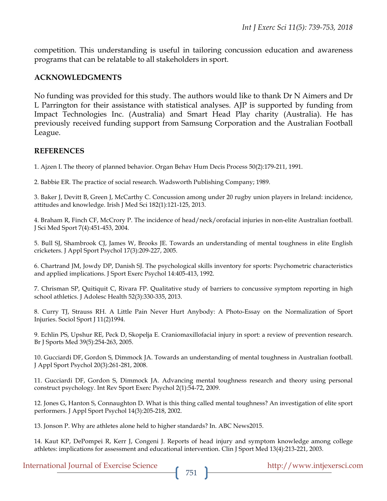competition. This understanding is useful in tailoring concussion education and awareness programs that can be relatable to all stakeholders in sport.

#### **ACKNOWLEDGMENTS**

No funding was provided for this study. The authors would like to thank Dr N Aimers and Dr L Parrington for their assistance with statistical analyses. AJP is supported by funding from Impact Technologies Inc. (Australia) and Smart Head Play charity (Australia). He has previously received funding support from Samsung Corporation and the Australian Football League.

#### **REFERENCES**

1. Ajzen I. The theory of planned behavior. Organ Behav Hum Decis Process 50(2):179-211, 1991.

2. Babbie ER. The practice of social research. Wadsworth Publishing Company; 1989.

3. Baker J, Devitt B, Green J, McCarthy C. Concussion among under 20 rugby union players in Ireland: incidence, attitudes and knowledge. Irish J Med Sci 182(1):121-125, 2013.

4. Braham R, Finch CF, McCrory P. The incidence of head/neck/orofacial injuries in non-elite Australian football. J Sci Med Sport 7(4):451-453, 2004.

5. Bull SJ, Shambrook CJ, James W, Brooks JE. Towards an understanding of mental toughness in elite English cricketers. J Appl Sport Psychol 17(3):209-227, 2005.

6. Chartrand JM, Jowdy DP, Danish SJ. The psychological skills inventory for sports: Psychometric characteristics and applied implications. J Sport Exerc Psychol 14:405-413, 1992.

7. Chrisman SP, Quitiquit C, Rivara FP. Qualitative study of barriers to concussive symptom reporting in high school athletics. J Adolesc Health 52(3):330-335, 2013.

8. Curry TJ, Strauss RH. A Little Pain Never Hurt Anybody: A Photo-Essay on the Normalization of Sport Injuries. Sociol Sport J 11(2)1994.

9. Echlin PS, Upshur RE, Peck D, Skopelja E. Craniomaxillofacial injury in sport: a review of prevention research. Br J Sports Med 39(5):254-263, 2005.

10. Gucciardi DF, Gordon S, Dimmock JA. Towards an understanding of mental toughness in Australian football. J Appl Sport Psychol 20(3):261-281, 2008.

11. Gucciardi DF, Gordon S, Dimmock JA. Advancing mental toughness research and theory using personal construct psychology. Int Rev Sport Exerc Psychol 2(1):54-72, 2009.

12. Jones G, Hanton S, Connaughton D. What is this thing called mental toughness? An investigation of elite sport performers. J Appl Sport Psychol 14(3):205-218, 2002.

13. Jonson P. Why are athletes alone held to higher standards? In. ABC News2015.

14. Kaut KP, DePompei R, Kerr J, Congeni J. Reports of head injury and symptom knowledge among college athletes: implications for assessment and educational intervention. Clin J Sport Med 13(4):213-221, 2003.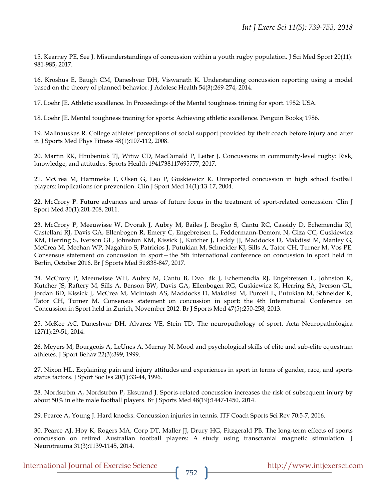15. Kearney PE, See J. Misunderstandings of concussion within a youth rugby population. J Sci Med Sport 20(11): 981-985, 2017.

16. Kroshus E, Baugh CM, Daneshvar DH, Viswanath K. Understanding concussion reporting using a model based on the theory of planned behavior. J Adolesc Health 54(3):269-274, 2014.

17. Loehr JE. Athletic excellence. In Proceedings of the Mental toughness trining for sport. 1982: USA.

18. Loehr JE. Mental toughness training for sports: Achieving athletic excellence. Penguin Books; 1986.

19. Malinauskas R. College athletes' perceptions of social support provided by their coach before injury and after it. J Sports Med Phys Fitness 48(1):107-112, 2008.

20. Martin RK, Hrubeniuk TJ, Witiw CD, MacDonald P, Leiter J. Concussions in community-level rugby: Risk, knowledge, and attitudes. Sports Health 1941738117695777, 2017.

21. McCrea M, Hammeke T, Olsen G, Leo P, Guskiewicz K. Unreported concussion in high school football players: implications for prevention. Clin J Sport Med 14(1):13-17, 2004.

22. McCrory P. Future advances and areas of future focus in the treatment of sport-related concussion. Clin J Sport Med 30(1):201-208, 2011.

23. McCrory P, Meeuwisse W, Dvorak J, Aubry M, Bailes J, Broglio S, Cantu RC, Cassidy D, Echemendia RJ, Castellani RJ, Davis GA, Ellenbogen R, Emery C, Engebretsen L, Feddermann-Demont N, Giza CC, Guskiewicz KM, Herring S, Iverson GL, Johnston KM, Kissick J, Kutcher J, Leddy JJ, Maddocks D, Makdissi M, Manley G, McCrea M, Meehan WP, Nagahiro S, Patricios J, Putukian M, Schneider KJ, Sills A, Tator CH, Turner M, Vos PE. Consensus statement on concussion in sport—the 5th international conference on concussion in sport held in Berlin, October 2016. Br J Sports Med 51:838-847, 2017.

24. McCrory P, Meeuwisse WH, Aubry M, Cantu B, Dvoák J, Echemendia RJ, Engebretsen L, Johnston K, Kutcher JS, Raftery M, Sills A, Benson BW, Davis GA, Ellenbogen RG, Guskiewicz K, Herring SA, Iverson GL, Jordan BD, Kissick J, McCrea M, McIntosh AS, Maddocks D, Makdissi M, Purcell L, Putukian M, Schneider K, Tator CH, Turner M. Consensus statement on concussion in sport: the 4th International Conference on Concussion in Sport held in Zurich, November 2012. Br J Sports Med 47(5):250-258, 2013.

25. McKee AC, Daneshvar DH, Alvarez VE, Stein TD. The neuropathology of sport. Acta Neuropathologica 127(1):29-51, 2014.

26. Meyers M, Bourgeois A, LeUnes A, Murray N. Mood and psychological skills of elite and sub-elite equestrian athletes. J Sport Behav 22(3):399, 1999.

27. Nixon HL. Explaining pain and injury attitudes and experiences in sport in terms of gender, race, and sports status factors. J Sport Soc Iss 20(1):33-44, 1996.

28. Nordström A, Nordström P, Ekstrand J. Sports-related concussion increases the risk of subsequent injury by about 50% in elite male football players. Br J Sports Med 48(19):1447-1450, 2014.

29. Pearce A, Young J. Hard knocks: Concussion injuries in tennis. ITF Coach Sports Sci Rev 70:5-7, 2016.

30. Pearce AJ, Hoy K, Rogers MA, Corp DT, Maller JJ, Drury HG, Fitzgerald PB. The long-term effects of sports concussion on retired Australian football players: A study using transcranial magnetic stimulation. J Neurotrauma 31(3):1139-1145, 2014.